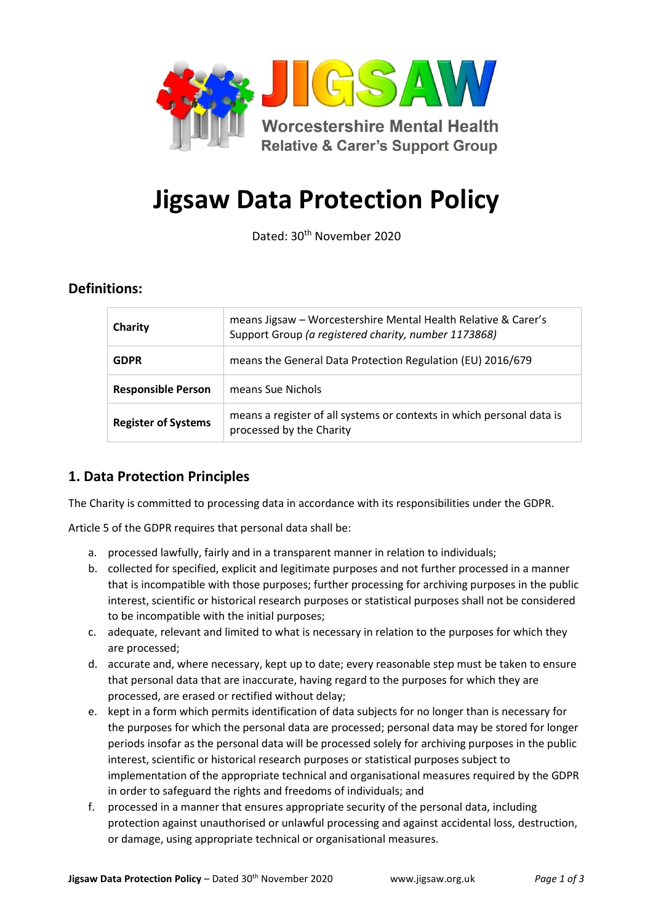

# **Jigsaw Data Protection Policy**

Dated: 30th November 2020

# **Definitions:**

| Charity                    | means Jigsaw - Worcestershire Mental Health Relative & Carer's<br>Support Group (a registered charity, number 1173868) |
|----------------------------|------------------------------------------------------------------------------------------------------------------------|
| <b>GDPR</b>                | means the General Data Protection Regulation (EU) 2016/679                                                             |
| <b>Responsible Person</b>  | means Sue Nichols                                                                                                      |
| <b>Register of Systems</b> | means a register of all systems or contexts in which personal data is<br>processed by the Charity                      |

# **1. Data Protection Principles**

The Charity is committed to processing data in accordance with its responsibilities under the GDPR.

Article 5 of the GDPR requires that personal data shall be:

- a. processed lawfully, fairly and in a transparent manner in relation to individuals;
- b. collected for specified, explicit and legitimate purposes and not further processed in a manner that is incompatible with those purposes; further processing for archiving purposes in the public interest, scientific or historical research purposes or statistical purposes shall not be considered to be incompatible with the initial purposes;
- c. adequate, relevant and limited to what is necessary in relation to the purposes for which they are processed;
- d. accurate and, where necessary, kept up to date; every reasonable step must be taken to ensure that personal data that are inaccurate, having regard to the purposes for which they are processed, are erased or rectified without delay;
- e. kept in a form which permits identification of data subjects for no longer than is necessary for the purposes for which the personal data are processed; personal data may be stored for longer periods insofar as the personal data will be processed solely for archiving purposes in the public interest, scientific or historical research purposes or statistical purposes subject to implementation of the appropriate technical and organisational measures required by the GDPR in order to safeguard the rights and freedoms of individuals; and
- f. processed in a manner that ensures appropriate security of the personal data, including protection against unauthorised or unlawful processing and against accidental loss, destruction, or damage, using appropriate technical or organisational measures.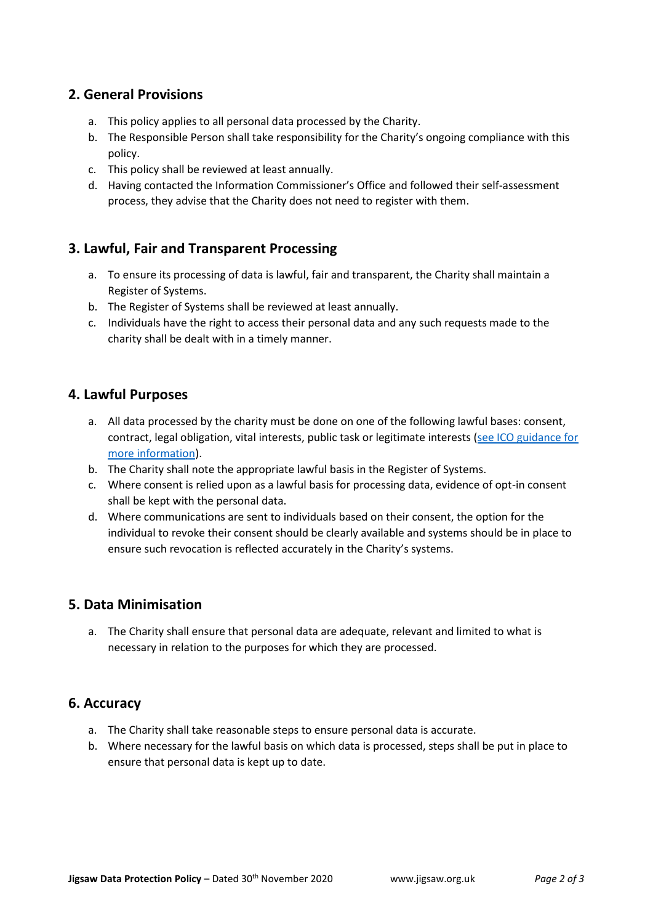## **2. General Provisions**

- a. This policy applies to all personal data processed by the Charity.
- b. The Responsible Person shall take responsibility for the Charity's ongoing compliance with this policy.
- c. This policy shall be reviewed at least annually.
- d. Having contacted the Information Commissioner's Office and followed their self-assessment process, they advise that the Charity does not need to register with them.

## **3. Lawful, Fair and Transparent Processing**

- a. To ensure its processing of data is lawful, fair and transparent, the Charity shall maintain a Register of Systems.
- b. The Register of Systems shall be reviewed at least annually.
- c. Individuals have the right to access their personal data and any such requests made to the charity shall be dealt with in a timely manner.

#### **4. Lawful Purposes**

- a. All data processed by the charity must be done on one of the following lawful bases: consent, contract, legal obligation, vital interests, public task or legitimate interests [\(see ICO guidance for](https://ico.org.uk/for-organisations/guide-to-the-general-data-protection-regulation-gdpr/lawful-basis-for-processing/)  [more information\)](https://ico.org.uk/for-organisations/guide-to-the-general-data-protection-regulation-gdpr/lawful-basis-for-processing/).
- b. The Charity shall note the appropriate lawful basis in the Register of Systems.
- c. Where consent is relied upon as a lawful basis for processing data, evidence of opt-in consent shall be kept with the personal data.
- d. Where communications are sent to individuals based on their consent, the option for the individual to revoke their consent should be clearly available and systems should be in place to ensure such revocation is reflected accurately in the Charity's systems.

#### **5. Data Minimisation**

a. The Charity shall ensure that personal data are adequate, relevant and limited to what is necessary in relation to the purposes for which they are processed.

#### **6. Accuracy**

- a. The Charity shall take reasonable steps to ensure personal data is accurate.
- b. Where necessary for the lawful basis on which data is processed, steps shall be put in place to ensure that personal data is kept up to date.